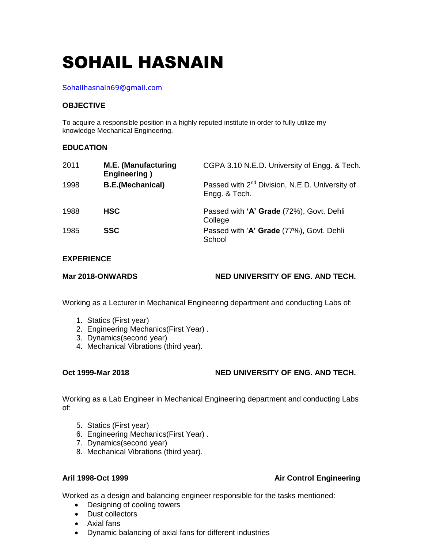# SOHAIL HASNAIN

### Sohailhasnain69@gmail.com

### **OBJECTIVE**

To acquire a responsible position in a highly reputed institute in order to fully utilize my knowledge Mechanical Engineering.

## **EDUCATION**

| 2011 | <b>M.E. (Manufacturing</b><br><b>Engineering</b> ) | CGPA 3.10 N.E.D. University of Engg. & Tech.                                |
|------|----------------------------------------------------|-----------------------------------------------------------------------------|
| 1998 | <b>B.E.</b> (Mechanical)                           | Passed with 2 <sup>nd</sup> Division, N.E.D. University of<br>Engg. & Tech. |
| 1988 | <b>HSC</b>                                         | Passed with 'A' Grade (72%), Govt. Dehli<br>College                         |
| 1985 | <b>SSC</b>                                         | Passed with 'A' Grade (77%), Govt. Dehli<br>School                          |

### **EXPERIENCE**

**Mar 2018-ONWARDS NED UNIVERSITY OF ENG. AND TECH.**

Working as a Lecturer in Mechanical Engineering department and conducting Labs of:

- 1. Statics (First year)
- 2. Engineering Mechanics(First Year) .
- 3. Dynamics(second year)
- 4. Mechanical Vibrations (third year).

# **Oct 1999-Mar 2018 NED UNIVERSITY OF ENG. AND TECH.**

Working as a Lab Engineer in Mechanical Engineering department and conducting Labs of:

- 5. Statics (First year)
- 6. Engineering Mechanics(First Year) .
- 7. Dynamics(second year)
- 8. Mechanical Vibrations (third year).

**Aril 1998-Oct 1999 Air Control Engineering**

Worked as a design and balancing engineer responsible for the tasks mentioned:

- Designing of cooling towers
- Dust collectors
- Axial fans
- Dynamic balancing of axial fans for different industries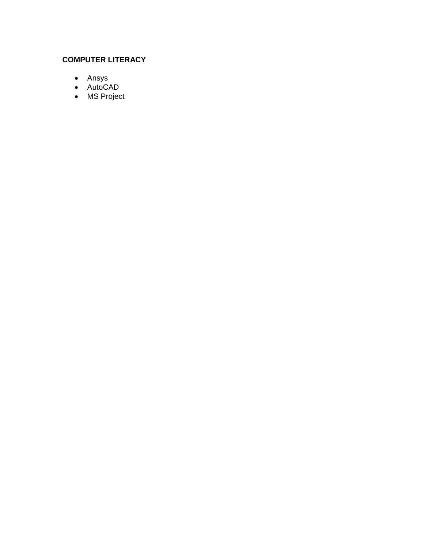# **COMPUTER LITERACY**

- Ansys
- AutoCAD
- MS Project